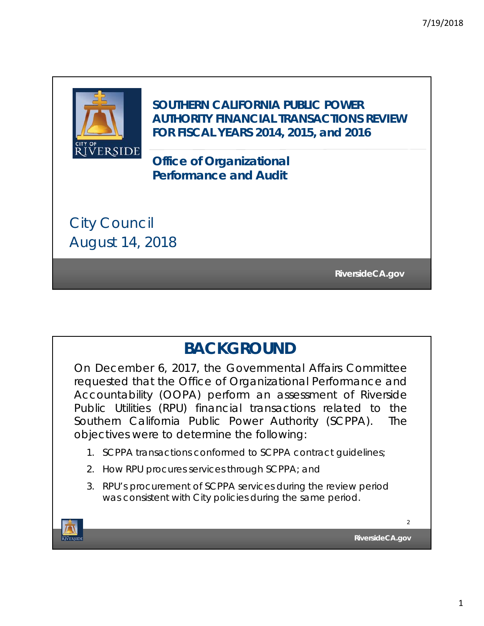

**SOUTHERN CALIFORNIA PUBLIC POWER AUTHORITY FINANCIAL TRANSACTIONS REVIEW FOR FISCAL YEARS 2014, 2015, and 2016**

**Office of Organizational Performance and Audit**

City Council August 14, 2018

**RiversideCA.gov RiversideCA.gov**

## **BACKGROUND**

On December 6, 2017, the Governmental Affairs Committee requested that the Office of Organizational Performance and Accountability (OOPA) perform an assessment of Riverside Public Utilities (RPU) financial transactions related to the Southern California Public Power Authority (SCPPA). The objectives were to determine the following:

- 1. SCPPA transactions conformed to SCPPA contract guidelines;
- 2. How RPU procures services through SCPPA; and
- 3. RPU's procurement of SCPPA services during the review period was consistent with City policies during the same period.

**TIVERSIDE** 

**RiversideCA.gov**

 $\overline{2}$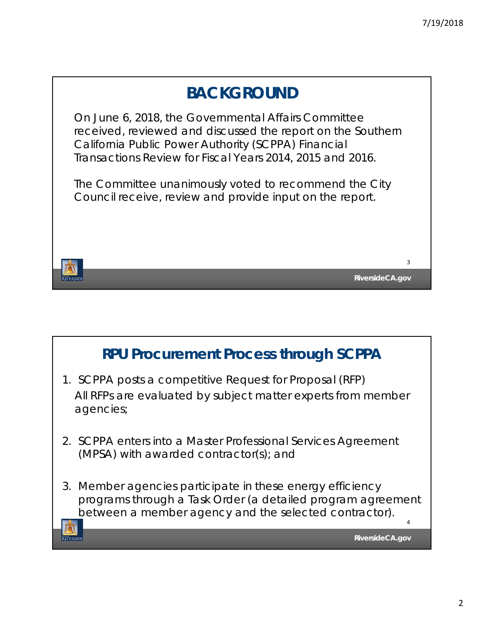

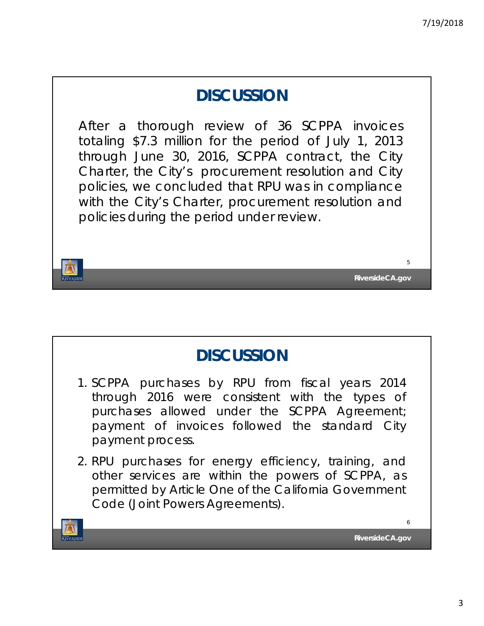## **DISCUSSION**

After a thorough review of 36 SCPPA invoices totaling \$7.3 million for the period of July 1, 2013 through June 30, 2016, SCPPA contract, the City Charter, the City's procurement resolution and City policies, we concluded that RPU was in compliance with the City's Charter, procurement resolution and policies during the period under review.





5

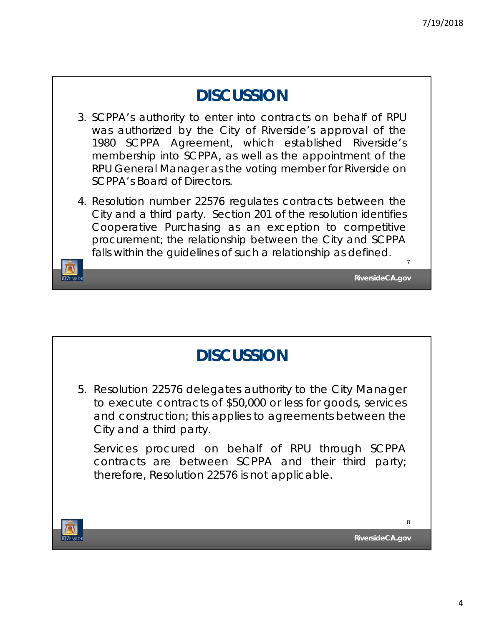**RiversideCA.gov**

7

## **DISCUSSION**

- 3. SCPPA's authority to enter into contracts on behalf of RPU was authorized by the City of Riverside's approval of the 1980 SCPPA Agreement, which established Riverside's membership into SCPPA, as well as the appointment of the RPU General Manager as the voting member for Riverside on SCPPA's Board of Directors.
- 4. Resolution number 22576 regulates contracts between the City and a third party. Section 201 of the resolution identifies Cooperative Purchasing as an exception to competitive procurement; the relationship between the City and SCPPA falls within the guidelines of such a relationship as defined.

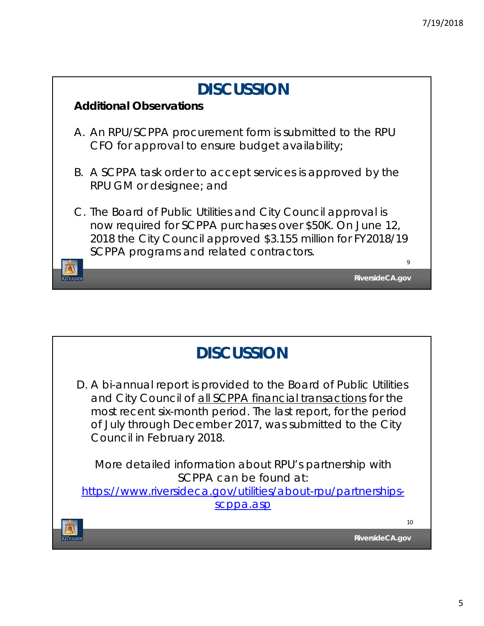